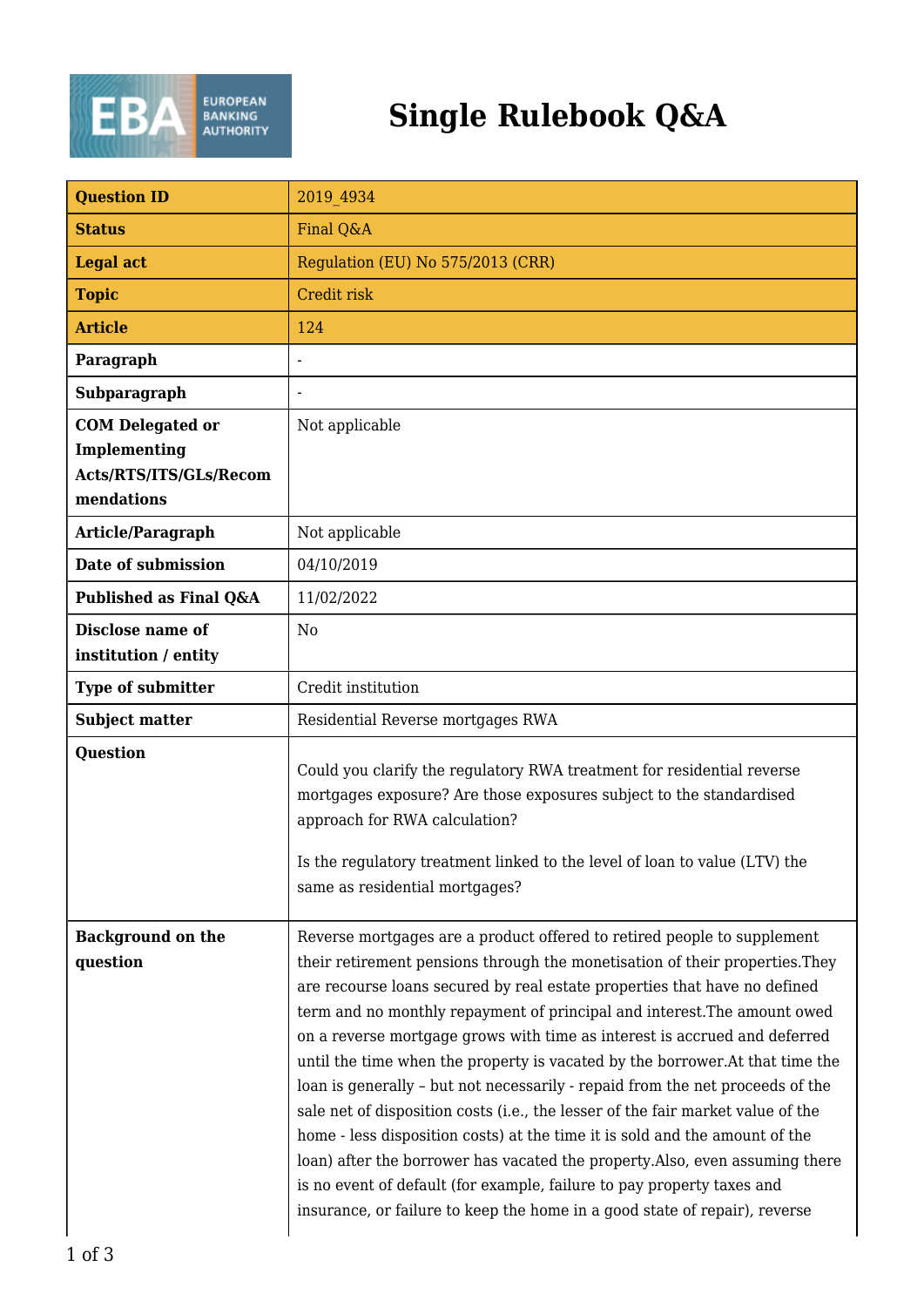

## **Single Rulebook Q&A**

| <b>Question ID</b>                                                              | 2019 4934                                                                                                                                                                                                                                                                                                                                                                                                                                                                                                                                                                                                                                                                                                                                                                                                                                                                                                                                                                 |
|---------------------------------------------------------------------------------|---------------------------------------------------------------------------------------------------------------------------------------------------------------------------------------------------------------------------------------------------------------------------------------------------------------------------------------------------------------------------------------------------------------------------------------------------------------------------------------------------------------------------------------------------------------------------------------------------------------------------------------------------------------------------------------------------------------------------------------------------------------------------------------------------------------------------------------------------------------------------------------------------------------------------------------------------------------------------|
| <b>Status</b>                                                                   | Final Q&A                                                                                                                                                                                                                                                                                                                                                                                                                                                                                                                                                                                                                                                                                                                                                                                                                                                                                                                                                                 |
| <b>Legal act</b>                                                                | Regulation (EU) No 575/2013 (CRR)                                                                                                                                                                                                                                                                                                                                                                                                                                                                                                                                                                                                                                                                                                                                                                                                                                                                                                                                         |
| <b>Topic</b>                                                                    | Credit risk                                                                                                                                                                                                                                                                                                                                                                                                                                                                                                                                                                                                                                                                                                                                                                                                                                                                                                                                                               |
| <b>Article</b>                                                                  | 124                                                                                                                                                                                                                                                                                                                                                                                                                                                                                                                                                                                                                                                                                                                                                                                                                                                                                                                                                                       |
| Paragraph                                                                       |                                                                                                                                                                                                                                                                                                                                                                                                                                                                                                                                                                                                                                                                                                                                                                                                                                                                                                                                                                           |
| Subparagraph                                                                    |                                                                                                                                                                                                                                                                                                                                                                                                                                                                                                                                                                                                                                                                                                                                                                                                                                                                                                                                                                           |
| <b>COM Delegated or</b><br>Implementing<br>Acts/RTS/ITS/GLs/Recom<br>mendations | Not applicable                                                                                                                                                                                                                                                                                                                                                                                                                                                                                                                                                                                                                                                                                                                                                                                                                                                                                                                                                            |
| Article/Paragraph                                                               | Not applicable                                                                                                                                                                                                                                                                                                                                                                                                                                                                                                                                                                                                                                                                                                                                                                                                                                                                                                                                                            |
| Date of submission                                                              | 04/10/2019                                                                                                                                                                                                                                                                                                                                                                                                                                                                                                                                                                                                                                                                                                                                                                                                                                                                                                                                                                |
| Published as Final Q&A                                                          | 11/02/2022                                                                                                                                                                                                                                                                                                                                                                                                                                                                                                                                                                                                                                                                                                                                                                                                                                                                                                                                                                |
| Disclose name of<br>institution / entity                                        | N <sub>0</sub>                                                                                                                                                                                                                                                                                                                                                                                                                                                                                                                                                                                                                                                                                                                                                                                                                                                                                                                                                            |
| Type of submitter                                                               | Credit institution                                                                                                                                                                                                                                                                                                                                                                                                                                                                                                                                                                                                                                                                                                                                                                                                                                                                                                                                                        |
| <b>Subject matter</b>                                                           | Residential Reverse mortgages RWA                                                                                                                                                                                                                                                                                                                                                                                                                                                                                                                                                                                                                                                                                                                                                                                                                                                                                                                                         |
| Question                                                                        | Could you clarify the regulatory RWA treatment for residential reverse<br>mortgages exposure? Are those exposures subject to the standardised<br>approach for RWA calculation?<br>Is the regulatory treatment linked to the level of loan to value (LTV) the<br>same as residential mortgages?                                                                                                                                                                                                                                                                                                                                                                                                                                                                                                                                                                                                                                                                            |
| <b>Background on the</b><br>question                                            | Reverse mortgages are a product offered to retired people to supplement<br>their retirement pensions through the monetisation of their properties. They<br>are recourse loans secured by real estate properties that have no defined<br>term and no monthly repayment of principal and interest. The amount owed<br>on a reverse mortgage grows with time as interest is accrued and deferred<br>until the time when the property is vacated by the borrower. At that time the<br>loan is generally - but not necessarily - repaid from the net proceeds of the<br>sale net of disposition costs (i.e., the lesser of the fair market value of the<br>home - less disposition costs) at the time it is sold and the amount of the<br>loan) after the borrower has vacated the property. Also, even assuming there<br>is no event of default (for example, failure to pay property taxes and<br>insurance, or failure to keep the home in a good state of repair), reverse |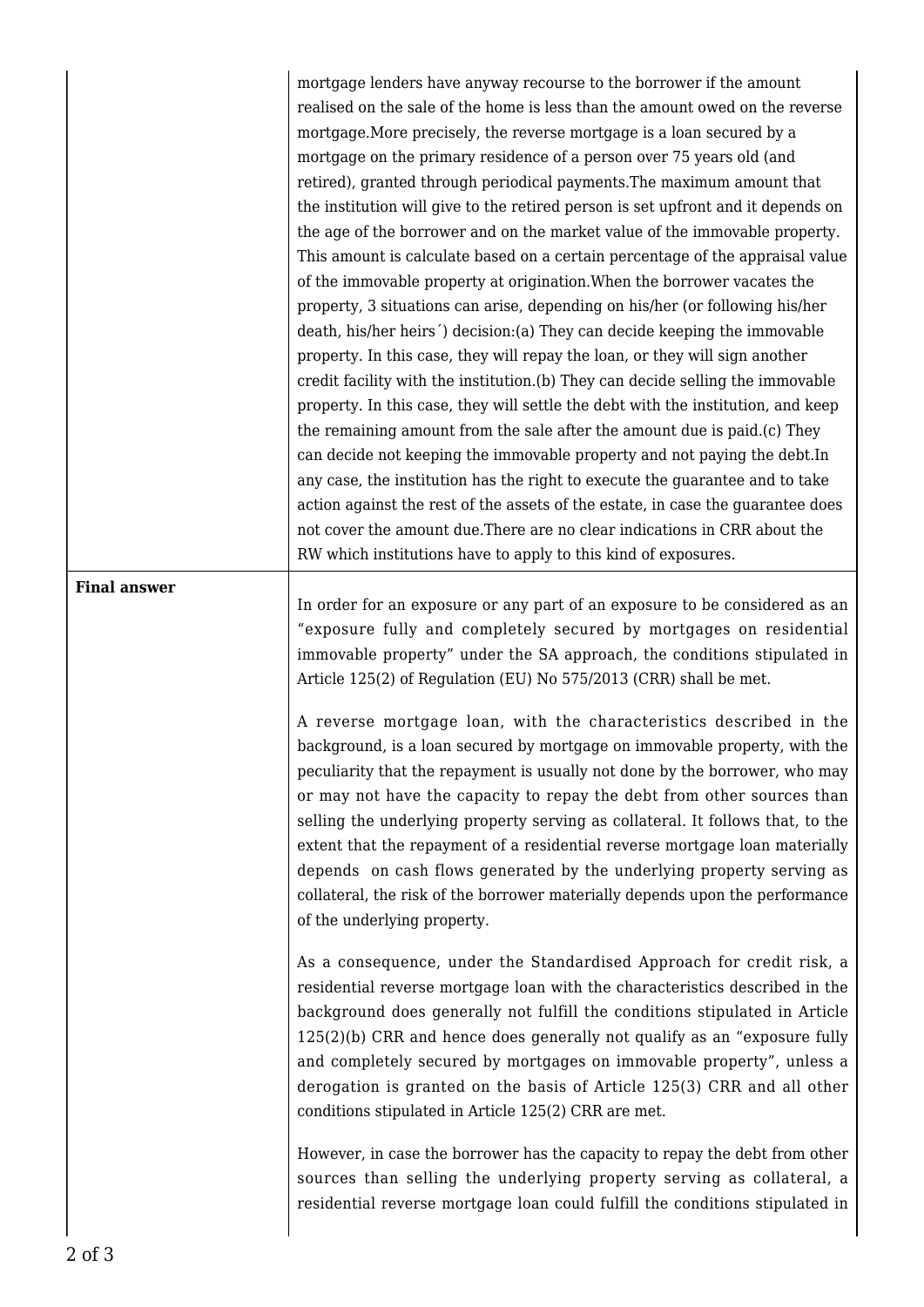mortgage lenders have anyway recourse to the borrower if the amount realised on the sale of the home is less than the amount owed on the reverse mortgage.More precisely, the reverse mortgage is a loan secured by a mortgage on the primary residence of a person over 75 years old (and retired), granted through periodical payments.The maximum amount that the institution will give to the retired person is set upfront and it depends on the age of the borrower and on the market value of the immovable property. This amount is calculate based on a certain percentage of the appraisal value of the immovable property at origination.When the borrower vacates the property, 3 situations can arise, depending on his/her (or following his/her death, his/her heirs´) decision:(a) They can decide keeping the immovable property. In this case, they will repay the loan, or they will sign another credit facility with the institution.(b) They can decide selling the immovable property. In this case, they will settle the debt with the institution, and keep the remaining amount from the sale after the amount due is paid.(c) They can decide not keeping the immovable property and not paying the debt.In any case, the institution has the right to execute the guarantee and to take action against the rest of the assets of the estate, in case the guarantee does not cover the amount due.There are no clear indications in CRR about the RW which institutions have to apply to this kind of exposures.

## **Final answer**

In order for an exposure or any part of an exposure to be considered as an "exposure fully and completely secured by mortgages on residential immovable property" under the SA approach, the conditions stipulated in Article 125(2) of Regulation (EU) No 575/2013 (CRR) shall be met.

A reverse mortgage loan, with the characteristics described in the background, is a loan secured by mortgage on immovable property, with the peculiarity that the repayment is usually not done by the borrower, who may or may not have the capacity to repay the debt from other sources than selling the underlying property serving as collateral. It follows that, to the extent that the repayment of a residential reverse mortgage loan materially depends on cash flows generated by the underlying property serving as collateral, the risk of the borrower materially depends upon the performance of the underlying property.

As a consequence, under the Standardised Approach for credit risk, a residential reverse mortgage loan with the characteristics described in the background does generally not fulfill the conditions stipulated in Article 125(2)(b) CRR and hence does generally not qualify as an "exposure fully and completely secured by mortgages on immovable property", unless a derogation is granted on the basis of Article 125(3) CRR and all other conditions stipulated in Article 125(2) CRR are met.

However, in case the borrower has the capacity to repay the debt from other sources than selling the underlying property serving as collateral, a residential reverse mortgage loan could fulfill the conditions stipulated in